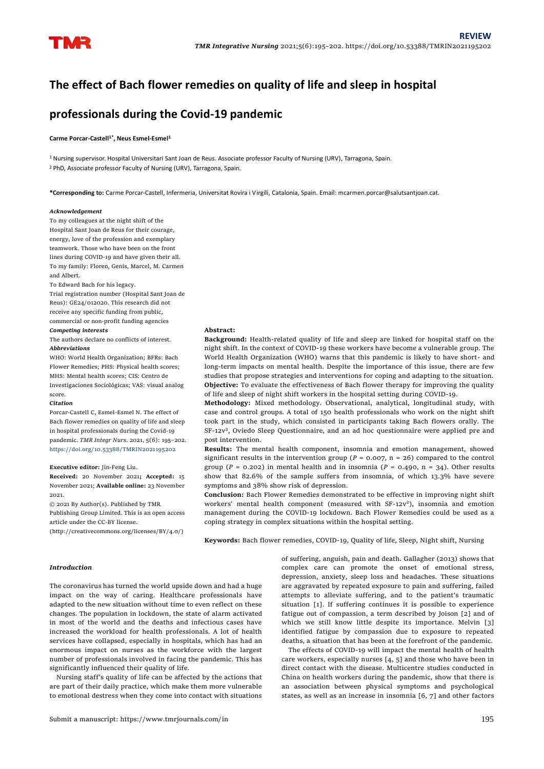

# **The effect of Bach flower remedies on quality of life and sleep in hospital**

## **professionals during the Covid-19 pandemic**

## **Carme Porcar-Castell1\* , Neus Esmel-Esmel<sup>1</sup>**

<sup>1</sup> Nursing supervisor. Hospital Universitari Sant Joan de Reus. Associate professor Faculty of Nursing (URV), Tarragona, Spain. <sup>2</sup> PhD, Associate professor Faculty of Nursing (URV), Tarragona, Spain.

**\*Corresponding to:** Carme Porcar-Castell, Infermeria, Universitat Rovira i Virgili, Catalonia, Spain. Email: mcarmen.porcar@salutsantjoan.cat.

#### *Acknowledgement*

To my colleagues at the night shift of the Hospital Sant Joan de Reus for their courage, energy, love of the profession and exemplary teamwork. Those who have been on the front lines during COVID-19 and have given their all. To my family: Floren, Genís, Marcel, M. Carmen and Albert.

To Edward Bach for his legacy.

Trial registration number (Hospital Sant Joan de Reus): GE24/012020. This research did not receive any specific funding from public, commercial or non-profit funding agencies

#### *Competing interests*

The authors declare no conflicts of interest. *Abbreviations*

WHO: World Health Organization; BFRs: Bach Flower Remedies; PHS: Physical health scores; MHS: Mental health scores; CIS: Centro de Investigaciones Socioló gicas; VAS: visual analog score.

#### *Citation*

Porcar-Castell C, Esmel-Esmel N. The effect of Bach flower remedies on quality of life and sleep in hospital professionals during the Covid-19 pandemic. *TMR Integr Nurs*. 2021, 5(6): 195–202. <https://doi.org/10.53388/TMRIN2021195202>

**Executive editor:** Jin-Feng Liu.

**Received:** 20 November 2021**; Accepted:** 15 November 2021; **Available online:** 23 November 2021.

© 2021 By Author(s). Published by TMR Publishing Group Limited. This is an open access article under the CC-BY license.

(http://creativecommons.org/licenses/BY/4.0/)

**Abstract:** 

**Background:** Health-related quality of life and sleep are linked for hospital staff on the night shift. In the context of COVID-19 these workers have become a vulnerable group. The World Health Organization (WHO) warns that this pandemic is likely to have short- and long-term impacts on mental health. Despite the importance of this issue, there are few studies that propose strategies and interventions for coping and adapting to the situation. **Objective:** To evaluate the effectiveness of Bach flower therapy for improving the quality of life and sleep of night shift workers in the hospital setting during COVID-19.

**Methodology:** Mixed methodology. Observational, analytical, longitudinal study, with case and control groups. A total of 150 health professionals who work on the night shift took part in the study, which consisted in participants taking Bach flowers orally. The SF-12v<sup>2</sup> , Oviedo Sleep Questionnaire, and an ad hoc questionnaire were applied pre and post intervention.

**Results:** The mental health component, insomnia and emotion management, showed significant results in the intervention group ( $P = 0.007$ ,  $n = 26$ ) compared to the control group ( $P = 0.202$ ) in mental health and in insomnia ( $P = 0.490$ ,  $n = 34$ ). Other results show that 82.6% of the sample suffers from insomnia, of which 13.3% have severe symptoms and 38% show risk of depression.

**Conclusion:** Bach Flower Remedies demonstrated to be effective in improving night shift workers' mental health component (measured with SF-12v 2 ), insomnia and emotion management during the COVID-19 lockdown. Bach Flower Remedies could be used as a coping strategy in complex situations within the hospital setting.

**Keywords:** Bach flower remedies, COVID-19, Quality of life, Sleep, Night shift, Nursing

## *Introduction*

The coronavirus has turned the world upside down and had a huge impact on the way of caring. Healthcare professionals have adapted to the new situation without time to even reflect on these changes. The population in lockdown, the state of alarm activated in most of the world and the deaths and infectious cases have increased the workload for health professionals. A lot of health services have collapsed, especially in hospitals, which has had an enormous impact on nurses as the workforce with the largest number of professionals involved in facing the pandemic. This has significantly influenced their quality of life.

Nursing staff's quality of life can be affected by the actions that are part of their daily practice, which make them more vulnerable to emotional destress when they come into contact with situations

of suffering, anguish, pain and death. Gallagher (2013) shows that complex care can promote the onset of emotional stress, depression, anxiety, sleep loss and headaches. These situations are aggravated by repeated exposure to pain and suffering, failed attempts to alleviate suffering, and to the patient's traumatic situation [1]. If suffering continues it is possible to experience fatigue out of compassion, a term described by Joison [2] and of which we still know little despite its importance. Melvin [3] identified fatigue by compassion due to exposure to repeated deaths, a situation that has been at the forefront of the pandemic.

The effects of COVID-19 will impact the mental health of health care workers, especially nurses [4, 5] and those who have been in direct contact with the disease. Multicentre studies conducted in China on health workers during the pandemic, show that there is an association between physical symptoms and psychological states, as well as an increase in insomnia [6, 7] and other factors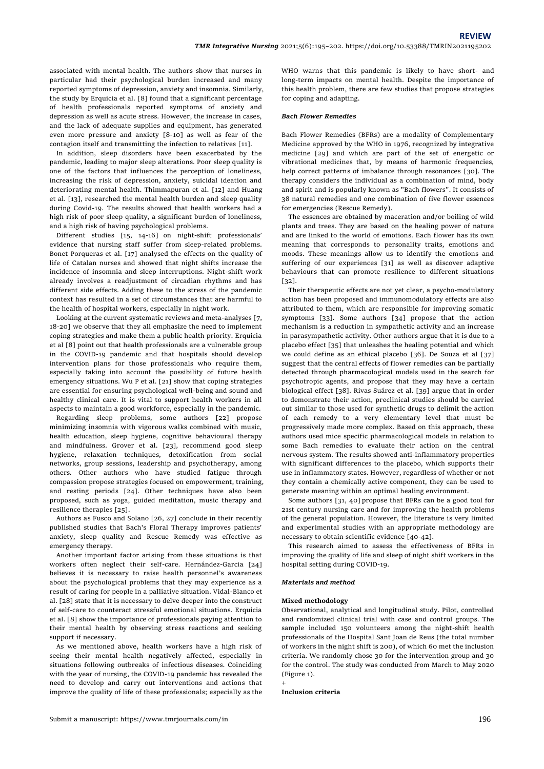associated with mental health. The authors show that nurses in particular had their psychological burden increased and many reported symptoms of depression, anxiety and insomnia. Similarly, the study by Erquicia et al. [8] found that a significant percentage of health professionals reported symptoms of anxiety and depression as well as acute stress. However, the increase in cases, and the lack of adequate supplies and equipment, has generated even more pressure and anxiety [8-10] as well as fear of the contagion itself and transmitting the infection to relatives [11].

In addition, sleep disorders have been exacerbated by the pandemic, leading to major sleep alterations. Poor sleep quality is one of the factors that influences the perception of loneliness, increasing the risk of depression, anxiety, suicidal ideation and deteriorating mental health. Thimmapuran et al. [12] and Huang et al. [13], researched the mental health burden and sleep quality during Covid-19. The results showed that health workers had a high risk of poor sleep quality, a significant burden of loneliness, and a high risk of having psychological problems.

Different studies [15, 14-16] on night-shift professionals' evidence that nursing staff suffer from sleep-related problems. Bonet Porqueras et al. [17] analysed the effects on the quality of life of Catalan nurses and showed that night shifts increase the incidence of insomnia and sleep interruptions. Night-shift work already involves a readjustment of circadian rhythms and has different side effects. Adding these to the stress of the pandemic context has resulted in a set of circumstances that are harmful to the health of hospital workers, especially in night work.

Looking at the current systematic reviews and meta-analyses [7, 18-20] we observe that they all emphasize the need to implement coping strategies and make them a public health priority. Erquicia et al [8] point out that health professionals are a vulnerable group in the COVID-19 pandemic and that hospitals should develop intervention plans for those professionals who require them, especially taking into account the possibility of future health emergency situations. Wu P et al. [21] show that coping strategies are essential for ensuring psychological well-being and sound and healthy clinical care. It is vital to support health workers in all aspects to maintain a good workforce, especially in the pandemic.

Regarding sleep problems, some authors [22] propose minimizing insomnia with vigorous walks combined with music, health education, sleep hygiene, cognitive behavioural therapy and mindfulness. Grover et al. [23], recommend good sleep hygiene, relaxation techniques, detoxification from social networks, group sessions, leadership and psychotherapy, among others. Other authors who have studied fatigue through compassion propose strategies focused on empowerment, training, and resting periods [24]. Other techniques have also been proposed, such as yoga, guided meditation, music therapy and resilience therapies [25].

Authors as Fusco and Solano [26, 27] conclude in their recently published studies that Bach's Floral Therapy improves patients' anxiety, sleep quality and Rescue Remedy was effective as emergency therapy.

Another important factor arising from these situations is that workers often neglect their self-care. Hernández-Garcia [24] believes it is necessary to raise health personnel's awareness about the psychological problems that they may experience as a result of caring for people in a palliative situation. Vidal-Blanco et al. [28] state that it is necessary to delve deeper into the construct of self-care to counteract stressful emotional situations. Erquicia et al. [8] show the importance of professionals paying attention to their mental health by observing stress reactions and seeking support if necessary.

As we mentioned above, health workers have a high risk of seeing their mental health negatively affected, especially in situations following outbreaks of infectious diseases. Coinciding with the year of nursing, the COVID-19 pandemic has revealed the need to develop and carry out interventions and actions that improve the quality of life of these professionals; especially as the WHO warns that this pandemic is likely to have short- and long-term impacts on mental health. Despite the importance of this health problem, there are few studies that propose strategies for coping and adapting.

## *Bach Flower Remedies*

Bach Flower Remedies (BFRs) are a modality of Complementary Medicine approved by the WHO in 1976, recognized by integrative medicine [29] and which are part of the set of energetic or vibrational medicines that, by means of harmonic frequencies, help correct patterns of imbalance through resonances [30]. The therapy considers the individual as a combination of mind, body and spirit and is popularly known as "Bach flowers". It consists of 38 natural remedies and one combination of five flower essences for emergencies (Rescue Remedy).

The essences are obtained by maceration and/or boiling of wild plants and trees. They are based on the healing power of nature and are linked to the world of emotions. Each flower has its own meaning that corresponds to personality traits, emotions and moods. These meanings allow us to identify the emotions and suffering of our experiences [31] as well as discover adaptive behaviours that can promote resilience to different situations [32].

Their therapeutic effects are not yet clear, a psycho-modulatory action has been proposed and immunomodulatory effects are also attributed to them, which are responsible for improving somatic symptoms [33]. Some authors [34] propose that the action mechanism is a reduction in sympathetic activity and an increase in parasympathetic activity. Other authors argue that it is due to a placebo effect [35] that unleashes the healing potential and which we could define as an ethical placebo [36]. De Souza et al [37] suggest that the central effects of flower remedies can be partially detected through pharmacological models used in the search for psychotropic agents, and propose that they may have a certain biological effect [38]. Rivas Suárez et al. [39] argue that in order to demonstrate their action, preclinical studies should be carried out similar to those used for synthetic drugs to delimit the action of each remedy to a very elementary level that must be progressively made more complex. Based on this approach, these authors used mice specific pharmacological models in relation to some Bach remedies to evaluate their action on the central nervous system. The results showed anti-inflammatory properties with significant differences to the placebo, which supports their use in inflammatory states. However, regardless of whether or not they contain a chemically active component, they can be used to generate meaning within an optimal healing environment.

Some authors [31, 40] propose that BFRs can be a good tool for 21st century nursing care and for improving the health problems of the general population. However, the literature is very limited and experimental studies with an appropriate methodology are necessary to obtain scientific evidence [40-42].

This research aimed to assess the effectiveness of BFRs in improving the quality of life and sleep of night shift workers in the hospital setting during COVID-19.

## *Materials and method*

## **Mixed methodology**

Observational, analytical and longitudinal study. Pilot, controlled and randomized clinical trial with case and control groups. The sample included 150 volunteers among the night-shift health professionals of the Hospital Sant Joan de Reus (the total number of workers in the night shift is 200), of which 60 met the inclusion criteria. We randomly chose 30 for the intervention group and 30 for the control. The study was conducted from March to May 2020 (Figure 1).

## **Inclusion criteria**

+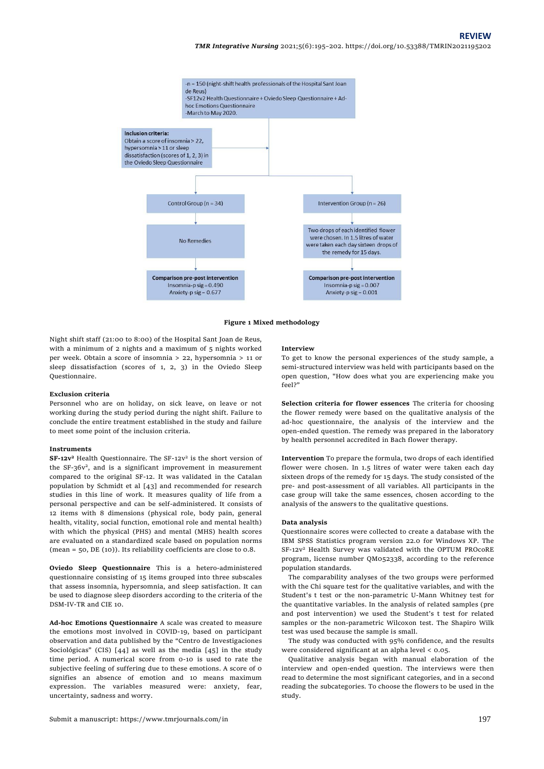*TMR Integrative Nursing* 2021;5(6):195–202[. https://doi.org/10.53388/TMRIN202119](https://doi.org/10.53388/TMR20210615236)5202



**Figure 1 Mixed methodology**

Night shift staff (21:00 to 8:00) of the Hospital Sant Joan de Reus, with a minimum of 2 nights and a maximum of 5 nights worked per week. Obtain a score of insomnia > 22, hypersomnia > 11 or sleep dissatisfaction (scores of 1, 2, 3) in the Oviedo Sleep Questionnaire.

## **Exclusion criteria**

Personnel who are on holiday, on sick leave, on leave or not working during the study period during the night shift. Failure to conclude the entire treatment established in the study and failure to meet some point of the inclusion criteria.

## **Instruments**

**SF-12v<sup>2</sup>** Health Questionnaire. The SF-12v<sup>2</sup> is the short version of the SF-36v<sup>2</sup>, and is a significant improvement in measurement compared to the original SF-12. It was validated in the Catalan population by Schmidt et al [43] and recommended for research studies in this line of work. It measures quality of life from a personal perspective and can be self-administered. It consists of 12 items with 8 dimensions (physical role, body pain, general health, vitality, social function, emotional role and mental health) with which the physical (PHS) and mental (MHS) health scores are evaluated on a standardized scale based on population norms (mean = 50, DE (10)). Its reliability coefficients are close to 0.8.

**Oviedo Sleep Questionnaire** This is a hetero-administered questionnaire consisting of 15 items grouped into three subscales that assess insomnia, hypersomnia, and sleep satisfaction. It can be used to diagnose sleep disorders according to the criteria of the DSM-IV-TR and CIE 10.

**Ad-hoc Emotions Questionnaire** A scale was created to measure the emotions most involved in COVID-19, based on participant observation and data published by the "Centro de Investigaciones Sociológicas" (CIS) [44] as well as the media [45] in the study time period. A numerical score from 0-10 is used to rate the subjective feeling of suffering due to these emotions. A score of 0 signifies an absence of emotion and 10 means maximum expression. The variables measured were: anxiety, fear, uncertainty, sadness and worry.

#### **Interview**

To get to know the personal experiences of the study sample, a semi-structured interview was held with participants based on the open question, "How does what you are experiencing make you feel?"

**Selection criteria for flower essences** The criteria for choosing the flower remedy were based on the qualitative analysis of the ad-hoc questionnaire, the analysis of the interview and the open-ended question. The remedy was prepared in the laboratory by health personnel accredited in Bach flower therapy.

**Intervention** To prepare the formula, two drops of each identified flower were chosen. In 1.5 litres of water were taken each day sixteen drops of the remedy for 15 days. The study consisted of the pre- and post-assessment of all variables. All participants in the case group will take the same essences, chosen according to the analysis of the answers to the qualitative questions.

#### **Data analysis**

Questionnaire scores were collected to create a database with the IBM SPSS Statistics program version 22.0 for Windows XP. The SF-12v<sup>2</sup> Health Survey was validated with the OPTUM PROcoRE program, license number QM052338, according to the reference population standards.

The comparability analyses of the two groups were performed with the Chi square test for the qualitative variables, and with the Student's t test or the non-parametric U-Mann Whitney test for the quantitative variables. In the analysis of related samples (pre and post intervention) we used the Student's t test for related samples or the non-parametric Wilcoxon test. The Shapiro Wilk test was used because the sample is small.

The study was conducted with 95% confidence, and the results were considered significant at an alpha level < 0.05.

Qualitative analysis began with manual elaboration of the interview and open-ended question. The interviews were then read to determine the most significant categories, and in a second reading the subcategories. To choose the flowers to be used in the study.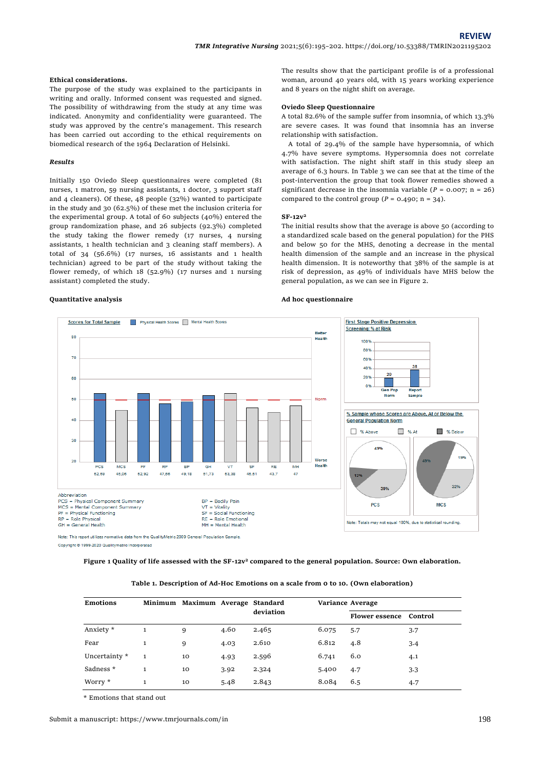## **Ethical considerations.**

The purpose of the study was explained to the participants in writing and orally. Informed consent was requested and signed. The possibility of withdrawing from the study at any time was indicated. Anonymity and confidentiality were guaranteed. The study was approved by the centre's management. This research has been carried out according to the ethical requirements on biomedical research of the 1964 Declaration of Helsinki.

## *Results*

Initially 150 Oviedo Sleep questionnaires were completed (81 nurses, 1 matron, 59 nursing assistants, 1 doctor, 3 support staff and 4 cleaners). Of these, 48 people (32%) wanted to participate in the study and 30 (62.5%) of these met the inclusion criteria for the experimental group. A total of 60 subjects (40%) entered the group randomization phase, and 26 subjects (92.3%) completed the study taking the flower remedy (17 nurses, 4 nursing assistants, 1 health technician and 3 cleaning staff members). A total of 34 (56.6%) (17 nurses, 16 assistants and 1 health technician) agreed to be part of the study without taking the flower remedy, of which 18 (52.9%) (17 nurses and 1 nursing assistant) completed the study.

#### **Quantitative analysis**

The results show that the participant profile is of a professional woman, around 40 years old, with 15 years working experience and 8 years on the night shift on average.

## **Oviedo Sleep Questionnaire**

A total 82.6% of the sample suffer from insomnia, of which 13.3% are severe cases. It was found that insomnia has an inverse relationship with satisfaction.

A total of 29.4% of the sample have hypersomnia, of which 4.7% have severe symptoms. Hypersomnia does not correlate with satisfaction. The night shift staff in this study sleep an average of 6.3 hours. In Table 3 we can see that at the time of the post-intervention the group that took flower remedies showed a significant decrease in the insomnia variable ( $P = 0.007$ ; n = 26) compared to the control group ( $P = 0.490$ ; n = 34).

#### **SF-12v 2**

The initial results show that the average is above 50 (according to a standardized scale based on the general population) for the PHS and below 50 for the MHS, denoting a decrease in the mental health dimension of the sample and an increase in the physical health dimension. It is noteworthy that 38% of the sample is at risk of depression, as 49% of individuals have MHS below the general population, as we can see in Figure 2.

#### **Ad hoc questionnaire**



Copyright @ 1999-2020 Qualitymetric Incorporated

**Figure 1 Quality of life assessed with the SF-12v<sup>2</sup> compared to the general population. Source: Own elaboration.**

|  |  |  | Table 1. Description of Ad-Hoc Emotions on a scale from o to 10. (Own elaboration) |  |  |
|--|--|--|------------------------------------------------------------------------------------|--|--|
|--|--|--|------------------------------------------------------------------------------------|--|--|

| <b>Emotions</b> |              | Minimum Maximum Average Standard |      |           |       | Variance Average              |     |
|-----------------|--------------|----------------------------------|------|-----------|-------|-------------------------------|-----|
|                 |              |                                  |      | deviation |       | <b>Flower essence</b> Control |     |
| Anxiety *       |              | 9                                | 4.60 | 2.465     | 6.075 | 5.7                           | 3.7 |
| Fear            | $\mathbf{1}$ | 9                                | 4.03 | 2.610     | 6.812 | 4.8                           | 3.4 |
| Uncertainty *   | $\mathbf{1}$ | 10                               | 4.93 | 2.596     | 6.741 | 6.0                           | 4.1 |
| Sadness *       | 1            | 10                               | 3.92 | 2.324     | 5.400 | 4.7                           | 3.3 |
| Worry *         | $\mathbf{1}$ | 10                               | 5.48 | 2.843     | 8.084 | 6.5                           | 4.7 |

\* Emotions that stand out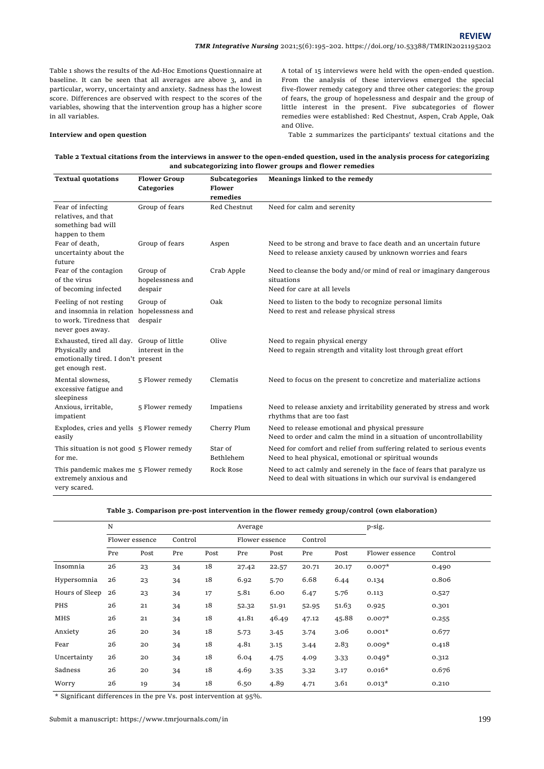Table 1 shows the results of the Ad-Hoc Emotions Questionnaire at baseline. It can be seen that all averages are above 3, and in particular, worry, uncertainty and anxiety. Sadness has the lowest score. Differences are observed with respect to the scores of the variables, showing that the intervention group has a higher score in all variables.

## **Interview and open question**

A total of 15 interviews were held with the open-ended question. From the analysis of these interviews emerged the special five-flower remedy category and three other categories: the group of fears, the group of hopelessness and despair and the group of little interest in the present. Five subcategories of flower remedies were established: Red Chestnut, Aspen, Crab Apple, Oak and Olive.

Table 2 summarizes the participants' textual citations and the

**Table 2 Textual citations from the interviews in answer to the open-ended question, used in the analysis process for categorizing and subcategorizing into flower groups and flower remedies**

| <b>Textual quotations</b>                                                                                             | <b>Flower Group</b><br><b>Categories</b> | Subcategories<br>Flower<br>remedies | Meanings linked to the remedy                                                                                                             |
|-----------------------------------------------------------------------------------------------------------------------|------------------------------------------|-------------------------------------|-------------------------------------------------------------------------------------------------------------------------------------------|
| Fear of infecting<br>relatives, and that<br>something bad will<br>happen to them                                      | Group of fears                           | Red Chestnut                        | Need for calm and serenity                                                                                                                |
| Fear of death,<br>uncertainty about the<br>future                                                                     | Group of fears                           | Aspen                               | Need to be strong and brave to face death and an uncertain future<br>Need to release anxiety caused by unknown worries and fears          |
| Fear of the contagion<br>of the virus<br>of becoming infected                                                         | Group of<br>hopelessness and<br>despair  | Crab Apple                          | Need to cleanse the body and/or mind of real or imaginary dangerous<br>situations<br>Need for care at all levels                          |
| Feeling of not resting<br>and insomnia in relation<br>to work. Tiredness that<br>never goes away.                     | Group of<br>hopelessness and<br>despair  | Oak                                 | Need to listen to the body to recognize personal limits<br>Need to rest and release physical stress                                       |
| Exhausted, tired all day. Group of little<br>Physically and<br>emotionally tired. I don't present<br>get enough rest. | interest in the                          | Olive                               | Need to regain physical energy<br>Need to regain strength and vitality lost through great effort                                          |
| Mental slowness,<br>excessive fatigue and<br>sleepiness                                                               | 5 Flower remedy                          | Clematis                            | Need to focus on the present to concretize and materialize actions                                                                        |
| Anxious, irritable,<br>impatient                                                                                      | 5 Flower remedy                          | Impatiens                           | Need to release anxiety and irritability generated by stress and work<br>rhythms that are too fast                                        |
| Explodes, cries and yells 5 Flower remedy<br>easily                                                                   |                                          | Cherry Plum                         | Need to release emotional and physical pressure<br>Need to order and calm the mind in a situation of uncontrollability                    |
| This situation is not good 5 Flower remedy<br>for me.                                                                 |                                          | Star of<br>Bethlehem                | Need for comfort and relief from suffering related to serious events<br>Need to heal physical, emotional or spiritual wounds              |
| This pandemic makes me 5 Flower remedy<br>extremely anxious and<br>very scared.                                       |                                          | Rock Rose                           | Need to act calmly and serenely in the face of fears that paralyze us<br>Need to deal with situations in which our survival is endangered |

| Table 3. Comparison pre-post intervention in the flower remedy group/control (own elaboration) |  |
|------------------------------------------------------------------------------------------------|--|
|------------------------------------------------------------------------------------------------|--|

|                | ${\rm N}$      |      |         |      | Average        |       |         |       | p-sig.         |         |
|----------------|----------------|------|---------|------|----------------|-------|---------|-------|----------------|---------|
|                | Flower essence |      | Control |      | Flower essence |       | Control |       |                |         |
|                | Pre            | Post | Pre     | Post | Pre            | Post  | Pre     | Post  | Flower essence | Control |
| Insomnia       | 26             | 23   | 34      | 18   | 27.42          | 22.57 | 20.71   | 20.17 | $0.007*$       | 0.490   |
| Hypersomnia    | 26             | 23   | 34      | 18   | 6.92           | 5.70  | 6.68    | 6.44  | 0.134          | 0.806   |
| Hours of Sleep | 26             | 23   | 34      | 17   | 5.81           | 6.00  | 6.47    | 5.76  | 0.113          | 0.527   |
| PHS            | 26             | 21   | 34      | 18   | 52.32          | 51.91 | 52.95   | 51.63 | 0.925          | 0.301   |
| <b>MHS</b>     | 26             | 21   | 34      | 18   | 41.81          | 46.49 | 47.12   | 45.88 | $0.007*$       | 0.255   |
| Anxiety        | 26             | 20   | 34      | 18   | 5.73           | 3.45  | 3.74    | 3.06  | $0.001*$       | 0.677   |
| Fear           | 26             | 20   | 34      | 18   | 4.81           | 3.15  | 3.44    | 2.83  | $0.009*$       | 0.418   |
| Uncertainty    | 26             | 20   | 34      | 18   | 6.04           | 4.75  | 4.09    | 3.33  | $0.049*$       | 0.312   |
| Sadness        | 26             | 20   | 34      | 18   | 4.69           | 3.35  | 3.32    | 3.17  | $0.016*$       | 0.676   |
| Worry          | 26             | 19   | 34      | 18   | 6.50           | 4.89  | 4.71    | 3.61  | $0.013*$       | 0.210   |

\* Significant differences in the pre Vs. post intervention at 95%.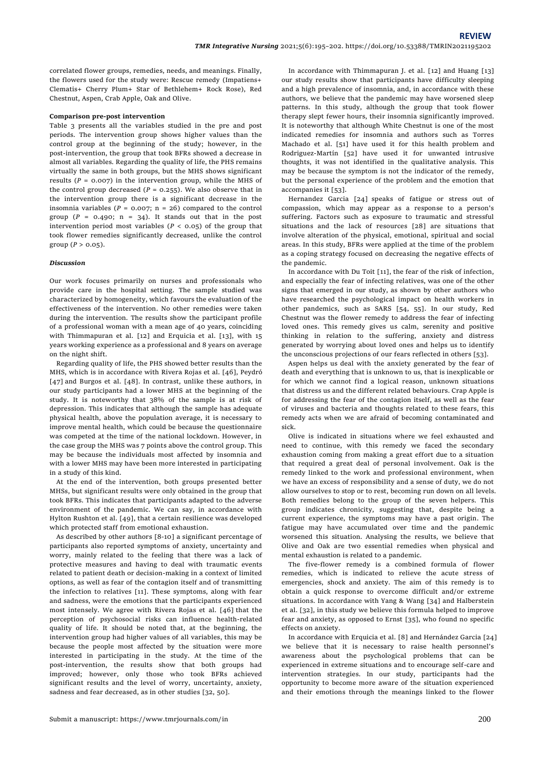correlated flower groups, remedies, needs, and meanings. Finally, the flowers used for the study were: Rescue remedy (Impatiens+ Clematis+ Cherry Plum+ Star of Bethlehem+ Rock Rose), Red Chestnut, Aspen, Crab Apple, Oak and Olive.

## **Comparison pre-post intervention**

Table 3 presents all the variables studied in the pre and post periods. The intervention group shows higher values than the control group at the beginning of the study; however, in the post-intervention, the group that took BFRs showed a decrease in almost all variables. Regarding the quality of life, the PHS remains virtually the same in both groups, but the MHS shows significant results ( $P = 0.007$ ) in the intervention group, while the MHS of the control group decreased  $(P = 0.255)$ . We also observe that in the intervention group there is a significant decrease in the insomnia variables  $(P = 0.007; n = 26)$  compared to the control group ( $P = 0.490$ ;  $n = 34$ ). It stands out that in the post intervention period most variables ( $P < 0.05$ ) of the group that took flower remedies significantly decreased, unlike the control group ( $P > 0.05$ ).

## *Discussion*

Our work focuses primarily on nurses and professionals who provide care in the hospital setting. The sample studied was characterized by homogeneity, which favours the evaluation of the effectiveness of the intervention. No other remedies were taken during the intervention. The results show the participant profile of a professional woman with a mean age of 40 years, coinciding with Thimmapuran et al. [12] and Erquicia et al. [13], with 15 years working experience as a professional and 8 years on average on the night shift.

Regarding quality of life, the PHS showed better results than the MHS, which is in accordance with Rivera Rojas et al. [46], Peydró [47] and Burgos et al. [48]. In contrast, unlike these authors, in our study participants had a lower MHS at the beginning of the study. It is noteworthy that 38% of the sample is at risk of depression. This indicates that although the sample has adequate physical health, above the population average, it is necessary to improve mental health, which could be because the questionnaire was competed at the time of the national lockdown. However, in the case group the MHS was 7 points above the control group. This may be because the individuals most affected by insomnia and with a lower MHS may have been more interested in participating in a study of this kind.

At the end of the intervention, both groups presented better MHSs, but significant results were only obtained in the group that took BFRs. This indicates that participants adapted to the adverse environment of the pandemic. We can say, in accordance with Hylton Rushton et al. [49], that a certain resilience was developed which protected staff from emotional exhaustion.

As described by other authors [8-10] a significant percentage of participants also reported symptoms of anxiety, uncertainty and worry, mainly related to the feeling that there was a lack of protective measures and having to deal with traumatic events related to patient death or decision-making in a context of limited options, as well as fear of the contagion itself and of transmitting the infection to relatives [11]. These symptoms, along with fear and sadness, were the emotions that the participants experienced most intensely. We agree with Rivera Rojas et al. [46] that the perception of psychosocial risks can influence health-related quality of life. It should be noted that, at the beginning, the intervention group had higher values of all variables, this may be because the people most affected by the situation were more interested in participating in the study. At the time of the post-intervention, the results show that both groups had improved; however, only those who took BFRs achieved significant results and the level of worry, uncertainty, anxiety, sadness and fear decreased, as in other studies [32, 50].

In accordance with Thimmapuran J. et al. [12] and Huang [13] our study results show that participants have difficulty sleeping and a high prevalence of insomnia, and, in accordance with these authors, we believe that the pandemic may have worsened sleep patterns. In this study, although the group that took flower therapy slept fewer hours, their insomnia significantly improved. It is noteworthy that although White Chestnut is one of the most indicated remedies for insomnia and authors such as Torres Machado et al. [51] have used it for this health problem and Rodriguez-Martín [52] have used it for unwanted intrusive thoughts, it was not identified in the qualitative analysis. This may be because the symptom is not the indicator of the remedy, but the personal experience of the problem and the emotion that accompanies it [53].

Hernandez Garcia [24] speaks of fatigue or stress out of compassion, which may appear as a response to a person's suffering. Factors such as exposure to traumatic and stressful situations and the lack of resources [28] are situations that involve alteration of the physical, emotional, spiritual and social areas. In this study, BFRs were applied at the time of the problem as a coping strategy focused on decreasing the negative effects of the pandemic.

In accordance with Du Toit [11], the fear of the risk of infection, and especially the fear of infecting relatives, was one of the other signs that emerged in our study, as shown by other authors who have researched the psychological impact on health workers in other pandemics, such as SARS [54, 55]. In our study, Red Chestnut was the flower remedy to address the fear of infecting loved ones. This remedy gives us calm, serenity and positive thinking in relation to the suffering, anxiety and distress generated by worrying about loved ones and helps us to identify the unconscious projections of our fears reflected in others [53].

Aspen helps us deal with the anxiety generated by the fear of death and everything that is unknown to us, that is inexplicable or for which we cannot find a logical reason, unknown situations that distress us and the different related behaviours. Crap Apple is for addressing the fear of the contagion itself, as well as the fear of viruses and bacteria and thoughts related to these fears, this remedy acts when we are afraid of becoming contaminated and sick.

Olive is indicated in situations where we feel exhausted and need to continue, with this remedy we faced the secondary exhaustion coming from making a great effort due to a situation that required a great deal of personal involvement. Oak is the remedy linked to the work and professional environment, when we have an excess of responsibility and a sense of duty, we do not allow ourselves to stop or to rest, becoming run down on all levels. Both remedies belong to the group of the seven helpers. This group indicates chronicity, suggesting that, despite being a current experience, the symptoms may have a past origin. The fatigue may have accumulated over time and the pandemic worsened this situation. Analysing the results, we believe that Olive and Oak are two essential remedies when physical and mental exhaustion is related to a pandemic.

The five-flower remedy is a combined formula of flower remedies, which is indicated to relieve the acute stress of emergencies, shock and anxiety. The aim of this remedy is to obtain a quick response to overcome difficult and/or extreme situations. In accordance with Yang & Wang [34] and Halberstein et al. [32], in this study we believe this formula helped to improve fear and anxiety, as opposed to Ernst [35], who found no specific effects on anxiety.

In accordance with Erquicia et al. [8] and Hernández Garcia [24] we believe that it is necessary to raise health personnel's awareness about the psychological problems that can be experienced in extreme situations and to encourage self-care and intervention strategies. In our study, participants had the opportunity to become more aware of the situation experienced and their emotions through the meanings linked to the flower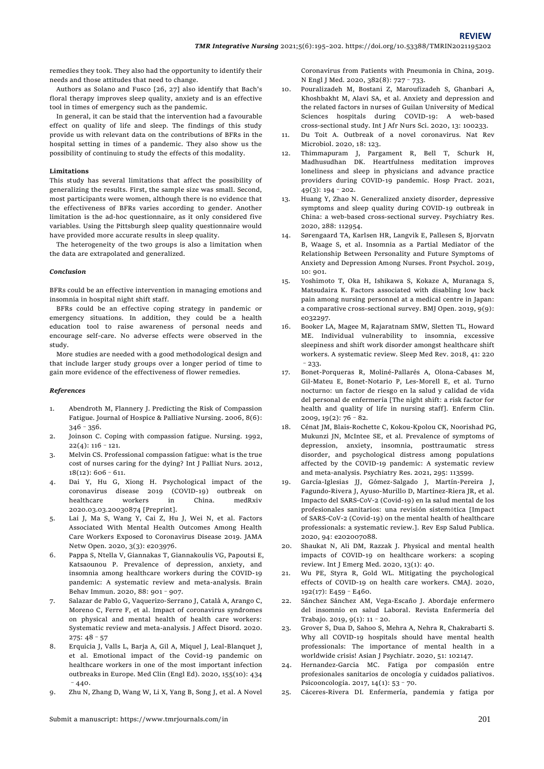remedies they took. They also had the opportunity to identify their needs and those attitudes that need to change.

Authors as Solano and Fusco [26, 27] also identify that Bach's floral therapy improves sleep quality, anxiety and is an effective tool in times of emergency such as the pandemic.

In general, it can be staid that the intervention had a favourable effect on quality of life and sleep. The findings of this study provide us with relevant data on the contributions of BFRs in the hospital setting in times of a pandemic. They also show us the possibility of continuing to study the effects of this modality.

## **Limitations**

This study has several limitations that affect the possibility of generalizing the results. First, the sample size was small. Second, most participants were women, although there is no evidence that the effectiveness of BFRs varies according to gender. Another limitation is the ad-hoc questionnaire, as it only considered five variables. Using the Pittsburgh sleep quality questionnaire would have provided more accurate results in sleep quality.

The heterogeneity of the two groups is also a limitation when the data are extrapolated and generalized.

## *Conclusion*

BFRs could be an effective intervention in managing emotions and insomnia in hospital night shift staff.

BFRs could be an effective coping strategy in pandemic or emergency situations. In addition, they could be a health education tool to raise awareness of personal needs and encourage self-care. No adverse effects were observed in the study.

More studies are needed with a good methodological design and that include larger study groups over a longer period of time to gain more evidence of the effectiveness of flower remedies.

## *References*

- 1. Abendroth M, Flannery J. Predicting the Risk of Compassion Fatigue. Journal of Hospice & Palliative Nursing. 2006, 8(6):  $346 - 356$ .
- 2. Joinson C. Coping with compassion fatigue. Nursing. 1992,  $22(4): 116 - 121.$
- 3. Melvin CS. Professional compassion fatigue: what is the true cost of nurses caring for the dying? Int J Palliat Nurs. 2012, 18(12): 606–611.
- 4. Dai Y, Hu G, Xiong H. Psychological impact of the coronavirus disease 2019 (COVID-19) outbreak on healthcare workers in China. medRxiv 2020.03.03.20030874 [Preprint].
- 5. Lai J, Ma S, Wang Y, Cai Z, Hu J, Wei N, et al. Factors Associated With Mental Health Outcomes Among Health Care Workers Exposed to Coronavirus Disease 2019. JAMA Netw Open. 2020, 3(3): e203976.
- 6. Pappa S, Ntella V, Giannakas T, Giannakoulis VG, Papoutsi E, Katsaounou P. Prevalence of depression, anxiety, and insomnia among healthcare workers during the COVID-19 pandemic: A systematic review and meta-analysis. Brain Behav Immun. 2020, 88: 901–907.
- 7. Salazar de Pablo G, Vaquerizo-Serrano J, Català A, Arango C, Moreno C, Ferre F, et al. Impact of coronavirus syndromes on physical and mental health of health care workers: Systematic review and meta-analysis. J Affect Disord. 2020. 275: 48–57
- 8. Erquicia J, Valls L, Barja A, Gil A, Miquel J, Leal-Blanquet J, et al. Emotional impact of the Covid-19 pandemic on healthcare workers in one of the most important infection outbreaks in Europe. Med Clin (Engl Ed). 2020, 155(10): 434  $-440.$
- 9. Zhu N, Zhang D, Wang W, Li X, Yang B, Song J, et al. A Novel

Coronavirus from Patients with Pneumonia in China, 2019. N Engl J Med. 2020, 382(8): 727–733.

- 10. Pouralizadeh M, Bostani Z, Maroufizadeh S, Ghanbari A, Khoshbakht M, Alavi SA, et al. Anxiety and depression and the related factors in nurses of Guilan University of Medical Sciences hospitals during COVID-19: A web-based cross-sectional study. Int J Afr Nurs Sci. 2020, 13: 100233.
- 11. Du Toit A. Outbreak of a novel coronavirus. Nat Rev Microbiol. 2020, 18: 123.
- 12. Thimmapuram J, Pargament R, Bell T, Schurk H, Madhusudhan DK. Heartfulness meditation improves loneliness and sleep in physicians and advance practice providers during COVID-19 pandemic. Hosp Pract. 2021, 49(3): 194–202.
- 13. Huang Y, Zhao N. Generalized anxiety disorder, depressive symptoms and sleep quality during COVID-19 outbreak in China: a web-based cross-sectional survey. Psychiatry Res. 2020, 288: 112954.
- 14. Sørengaard TA, Karlsen HR, Langvik E, Pallesen S, Bjorvatn B, Waage S, et al. Insomnia as a Partial Mediator of the Relationship Between Personality and Future Symptoms of Anxiety and Depression Among Nurses. Front Psychol. 2019, 10: 901.
- 15. Yoshimoto T, Oka H, Ishikawa S, Kokaze A, Muranaga S, Matsudaira K. Factors associated with disabling low back pain among nursing personnel at a medical centre in Japan: a comparative cross-sectional survey. BMJ Open. 2019, 9(9): e032297.
- 16. Booker LA, Magee M, Rajaratnam SMW, Sletten TL, Howard ME. Individual vulnerability to insomnia, excessive sleepiness and shift work disorder amongst healthcare shift workers. A systematic review. Sleep Med Rev. 2018, 41: 220 –233.
- 17. Bonet-Porqueras R, Moliné-Pallarés A, Olona-Cabases M, Gil-Mateu E, Bonet-Notario P, Les-Morell E, et al. Turno nocturno: un factor de riesgo en la salud y calidad de vida del personal de enfermería [The night shift: a risk factor for health and quality of life in nursing staff]. Enferm Clin.  $2009, 19(2): 76-82.$
- 18. Cénat JM, Blais-Rochette C, Kokou-Kpolou CK, Noorishad PG, Mukunzi JN, McIntee SE, et al. Prevalence of symptoms of depression, anxiety, insomnia, posttraumatic stress disorder, and psychological distress among populations affected by the COVID-19 pandemic: A systematic review and meta-analysis. Psychiatry Res. 2021, 295: 113599.
- 19. García-Iglesias JJ, Gómez-Salgado J, Martín-Pereira J, Fagundo-Rivera J, Ayuso-Murillo D, Martínez-Riera JR, et al. Impacto del SARS-CoV-2 (Covid-19) en la salud mental de los profesionales sanitarios: una revisión sistemática [Impact of SARS-CoV-2 (Covid-19) on the mental health of healthcare professionals: a systematic review.]. Rev Esp Salud Publica. 2020, 94: e202007088.
- 20. Shaukat N, Ali DM, Razzak J. Physical and mental health impacts of COVID-19 on healthcare workers: a scoping review. Int J Emerg Med. 2020, 13(1): 40.
- 21. Wu PE, Styra R, Gold WL. Mitigating the psychological effects of COVID-19 on health care workers. CMAJ. 2020, 192(17): E459–E460.
- 22. Sánchez Sánchez AM, Vega-Escaño J. Abordaje enfermero del insomnio en salud Laboral. Revista Enfermería del Trabajo. 2019, 9(1): 11–20.
- 23. Grover S, Dua D, Sahoo S, Mehra A, Nehra R, Chakrabarti S. Why all COVID-19 hospitals should have mental health professionals: The importance of mental health in a worldwide crisis! Asian J Psychiatr. 2020, 51: 102147.
- 24. Hernandez-Garcia MC. Fatiga por compasión entre profesionales sanitarios de oncología y cuidados paliativos. Psicooncología. 2017, 14(1): 53–70.
- 25. Cá ceres-Rivera DI. Enfermería, pandemia y fatiga por